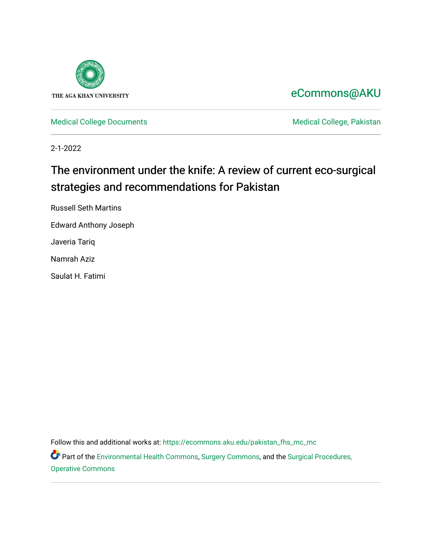

## [eCommons@AKU](https://ecommons.aku.edu/)

[Medical College Documents](https://ecommons.aku.edu/pakistan_fhs_mc_mc) **Medical College, Pakistan** 

2-1-2022

# The environment under the knife: A review of current eco-surgical strategies and recommendations for Pakistan

Russell Seth Martins Edward Anthony Joseph Javeria Tariq

Namrah Aziz

Saulat H. Fatimi

Follow this and additional works at: [https://ecommons.aku.edu/pakistan\\_fhs\\_mc\\_mc](https://ecommons.aku.edu/pakistan_fhs_mc_mc?utm_source=ecommons.aku.edu%2Fpakistan_fhs_mc_mc%2F266&utm_medium=PDF&utm_campaign=PDFCoverPages) 

Part of the [Environmental Health Commons](http://network.bepress.com/hgg/discipline/64?utm_source=ecommons.aku.edu%2Fpakistan_fhs_mc_mc%2F266&utm_medium=PDF&utm_campaign=PDFCoverPages), [Surgery Commons,](http://network.bepress.com/hgg/discipline/706?utm_source=ecommons.aku.edu%2Fpakistan_fhs_mc_mc%2F266&utm_medium=PDF&utm_campaign=PDFCoverPages) and the [Surgical Procedures,](http://network.bepress.com/hgg/discipline/974?utm_source=ecommons.aku.edu%2Fpakistan_fhs_mc_mc%2F266&utm_medium=PDF&utm_campaign=PDFCoverPages) [Operative Commons](http://network.bepress.com/hgg/discipline/974?utm_source=ecommons.aku.edu%2Fpakistan_fhs_mc_mc%2F266&utm_medium=PDF&utm_campaign=PDFCoverPages)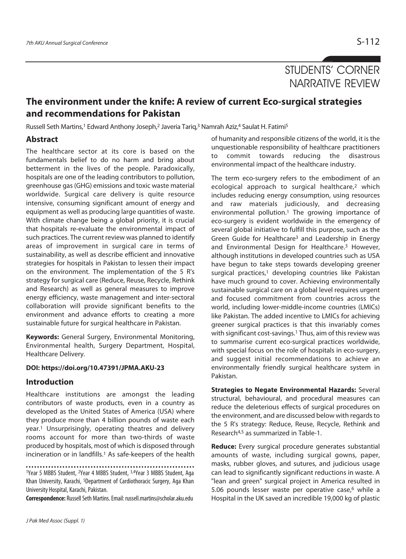### STUDENTS' CORNER NARRATIVE REVIEW

### **The environment under the knife: A review of current Eco-surgical strategies and recommendations for Pakistan**

Russell Seth Martins,<sup>1</sup> Edward Anthony Joseph,<sup>2</sup> Javeria Tariq,<sup>3</sup> Namrah Aziz,<sup>4</sup> Saulat H. Fatimi<sup>5</sup>

### **Abstract**

The healthcare sector at its core is based on the fundamentals belief to do no harm and bring about betterment in the lives of the people. Paradoxically, hospitals are one of the leading contributors to pollution, greenhouse gas (GHG) emissions and toxic waste material worldwide. Surgical care delivery is quite resource intensive, consuming significant amount of energy and equipment as well as producing large quantities of waste. With climate change being a global priority, it is crucial that hospitals re-evaluate the environmental impact of such practices. The current review was planned to identify areas of improvement in surgical care in terms of sustainability, as well as describe efficient and innovative strategies for hospitals in Pakistan to lessen their impact on the environment. The implementation of the 5 R's strategy for surgical care (Reduce, Reuse, Recycle, Rethink and Research) as well as general measures to improve energy efficiency, waste management and inter-sectoral collaboration will provide significant benefits to the environment and advance efforts to creating a more sustainable future for surgical healthcare in Pakistan.

**Keywords:** General Surgery, Environmental Monitoring, Environmental health, Surgery Department, Hospital, Healthcare Delivery.

#### **DOI: https://doi.org/10.47391/JPMA.AKU-23**

#### **Introduction**

Healthcare institutions are amongst the leading contributors of waste products, even in a country as developed as the United States of America (USA) where they produce more than 4 billion pounds of waste each year.1 Unsurprisingly, operating theatres and delivery rooms account for more than two-thirds of waste produced by hospitals, most of which is disposed through incineration or in landfills.1 As safe-keepers of the health

1Year 5 MBBS Student, 2Year 4 MBBS Student, 3,4Year 3 MBBS Student, Aga Khan University, Karachi, 5Department of Cardiothoracic Surgery, Aga Khan University Hospital, Karachi, Pakistan.

**Correspondence:** Russell Seth Martins. Email: russell.martins@scholar.aku.edu

of humanity and responsible citizens of the world, it is the unquestionable responsibility of healthcare practitioners to commit towards reducing the disastrous environmental impact of the healthcare industry.

The term eco-surgery refers to the embodiment of an ecological approach to surgical healthcare,<sup>2</sup> which includes reducing energy consumption, using resources and raw materials judiciously, and decreasing environmental pollution.<sup>1</sup> The growing importance of eco-surgery is evident worldwide in the emergency of several global initiative to fulfill this purpose, such as the Green Guide for Healthcare3 and Leadership in Energy and Environmental Design for Healthcare.3 However, although institutions in developed countries such as USA have begun to take steps towards developing greener surgical practices,<sup>1</sup> developing countries like Pakistan have much ground to cover. Achieving environmentally sustainable surgical care on a global level requires urgent and focused commitment from countries across the world, including lower-middle-income countries (LMICs) like Pakistan. The added incentive to LMICs for achieving greener surgical practices is that this invariably comes with significant cost-savings.<sup>1</sup> Thus, aim of this review was to summarise current eco-surgical practices worldwide, with special focus on the role of hospitals in eco-surgery, and suggest initial recommendations to achieve an environmentally friendly surgical healthcare system in Pakistan.

**Strategies to Negate Environmental Hazards:** Several structural, behavioural, and procedural measures can reduce the deleterious effects of surgical procedures on the environment, and are discussed below with regards to the 5 R's strategy: Reduce, Reuse, Recycle, Rethink and Research4,5 as summarized in Table-1.

**Reduce:** Every surgical procedure generates substantial amounts of waste, including surgical gowns, paper, masks, rubber gloves, and sutures, and judicious usage can lead to significantly significant reductions in waste. A "lean and green" surgical project in America resulted in 5.06 pounds lesser waste per operative case, $6$  while a Hospital in the UK saved an incredible 19,000 kg of plastic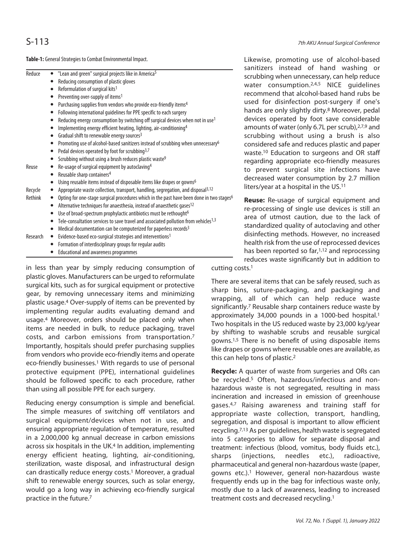**Table-1:** General Strategies to Combat Environmental Impact.

|          |                                                                                                              | sanıtızers      |
|----------|--------------------------------------------------------------------------------------------------------------|-----------------|
| Reduce   | "Lean and green" surgical projects like in America <sup>5</sup><br>$\bullet$                                 | scrubbing       |
|          | Reducing consumption of plastic gloves                                                                       | water c         |
|          | Reformulation of surgical kits <sup>1</sup><br>٠                                                             | recomme         |
|          | Preventing over-supply of items <sup>1</sup><br>$\bullet$                                                    |                 |
|          | Purchasing supplies from vendors who provide eco-friendly items <sup>4</sup>                                 | used for        |
|          | Following international guidelines for PPE specific to each surgery                                          | hands are       |
|          | Reducing energy consumption by switching off surgical devices when not in use <sup>1</sup>                   | devices c       |
|          | Implementing energy efficient heating, lighting, air-conditioning <sup>4</sup>                               | amounts         |
|          | Gradual shift to renewable energy sources <sup>3</sup>                                                       | scrubbin        |
|          | Promoting use of alcohol-based sanitizers instead of scrubbing when unnecessary <sup>6</sup><br>$\bullet$    | considere       |
|          | Pedal devices operated by foot for scrubbing <sup>3,7</sup>                                                  | waste. $10$ [   |
|          | Scrubbing without using a brush reduces plastic waste <sup>9</sup>                                           | regarding       |
| Reuse    | Re-usage of surgical equipment by autoclaving <sup>4</sup>                                                   | to preve        |
|          | Reusable sharp containers <sup>4</sup>                                                                       |                 |
|          | Using reusable items instead of disposable items like drapes or gowns <sup>6</sup>                           | decreased       |
| Recycle  | Appropriate waste collection, transport, handling, segregation, and disposal <sup>3,12</sup>                 | liters/year     |
| Rethink  | Opting for one-stage surgical procedures which in the past have been done in two stages <sup>6</sup>         | <b>Reuse: R</b> |
|          | Alternative techniques for anaesthesia, instead of anaesthetic gases <sup>12</sup><br>$\bullet$              |                 |
|          | Use of broad-spectrum prophylactic antibiotics must be rethought <sup>6</sup><br>$\bullet$                   | re-proces       |
|          | Tele-consultation services to save travel and associated pollution from vehicles <sup>1,3</sup><br>$\bullet$ | area of u       |
|          | Medical documentation can be computerized for paperless records <sup>3</sup><br>٠                            | standardi       |
| Research | Evidence-based eco-surgical strategies and interventions <sup>1</sup><br>$\bullet$                           | disinfectii     |
|          | Formation of interdisciplinary groups for regular audits                                                     | health risl     |
|          | Educational and awareness programmes                                                                         | has been        |
|          |                                                                                                              | reduces v       |
|          |                                                                                                              |                 |

in less than year by simply reducing consumption of plastic gloves. Manufacturers can be urged to reformulate surgical kits, such as for surgical equipment or protective gear, by removing unnecessary items and minimizing plastic usage.4 Over-supply of items can be prevented by implementing regular audits evaluating demand and usage.4 Moreover, orders should be placed only when items are needed in bulk, to reduce packaging, travel costs, and carbon emissions from transportation.7 Importantly, hospitals should prefer purchasing supplies from vendors who provide eco-friendly items and operate eco-friendly businesses.<sup>1</sup> With regards to use of personal protective equipment (PPE), international guidelines should be followed specific to each procedure, rather than using all possible PPE for each surgery.

Reducing energy consumption is simple and beneficial. The simple measures of switching off ventilators and surgical equipment/devices when not in use, and ensuring appropriate regulation of temperature, resulted in a 2,000,000 kg annual decrease in carbon emissions across six hospitals in the UK.4 In addition, implementing energy efficient heating, lighting, air-conditioning, sterilization, waste disposal, and infrastructural design can drastically reduce energy costs.1 Moreover, a gradual shift to renewable energy sources, such as solar energy, would go a long way in achieving eco-friendly surgical practice in the future.7

Likewise, promoting use of alcohol-based instead of hand washing or g when unnecessary, can help reduce onsumption.<sup>2,4,5</sup> NICE guidelines nd that alcohol-based hand rubs be disinfection post-surgery if one's only slightly dirty.8 Moreover, pedal perated by foot save considerable of water (only 6.7L per scrub),<sup>2,7,9</sup> and q without using a brush is also d safe and reduces plastic and paper Education to surgeons and OR staff appropriate eco-friendly measures nt surgical site infections have d water consumption by 2.7 million r at a hospital in the US.<sup>11</sup>

**Reuse:** Re-usage of surgical equipment and sing of single use devices is still an atmost caution, due to the lack of zed quality of autoclaving and other ng methods. However, no increased k from the use of reprocessed devices reported so far, $1,12$  and reprocessing waste significantly but in addition to

cutting costs.1

There are several items that can be safely reused, such as sharp bins, suture-packaging, and packaging and wrapping, all of which can help reduce waste significantly.7 Reusable sharp containers reduce waste by approximately 34,000 pounds in a 1000-bed hospital.1 Two hospitals in the US reduced waste by 23,000 kg/year by shifting to washable scrubs and reusable surgical gowns.1,5 There is no benefit of using disposable items like drapes or gowns where reusable ones are available, as this can help tons of plastic.2

**Recycle:** A quarter of waste from surgeries and ORs can be recycled.<sup>5</sup> Often, hazardous/infectious and nonhazardous waste is not segregated, resulting in mass incineration and increased in emission of greenhouse gases.4,7 Raising awareness and training staff for appropriate waste collection, transport, handling, segregation, and disposal is important to allow efficient recycling.7,13 As per guidelines, health waste is segregated into 5 categories to allow for separate disposal and treatment: infectious (blood, vomitus, body fluids etc.), sharps (injections, needles etc.), radioactive, pharmaceutical and general non-hazardous waste (paper, gowns etc.).1 However, general non-hazardous waste frequently ends up in the bag for infectious waste only, mostly due to a lack of awareness, leading to increased treatment costs and decreased recycling.1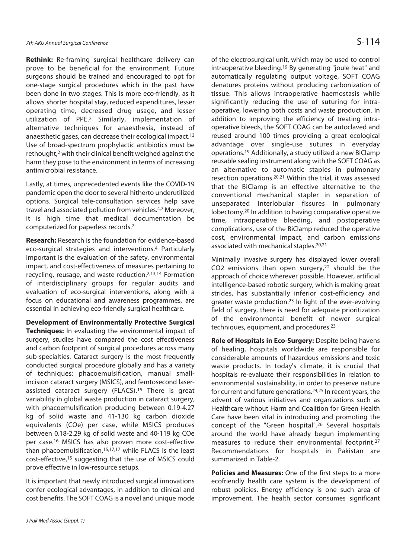**Rethink:** Re-framing surgical healthcare delivery can prove to be beneficial for the environment. Future surgeons should be trained and encouraged to opt for one-stage surgical procedures which in the past have been done in two stages. This is more eco-friendly, as it allows shorter hospital stay, reduced expenditures, lesser operating time, decreased drug usage, and lesser utilization of PPE.2 Similarly, implementation of alternative techniques for anaesthesia, instead of anaesthetic gases, can decrease their ecological impact.13 Use of broad-spectrum prophylactic antibiotics must be rethought,2 with their clinical benefit weighed against the harm they pose to the environment in terms of increasing antimicrobial resistance.

Lastly, at times, unprecedented events like the COVID-19 pandemic open the door to several hitherto underutilized options. Surgical tele-consultation services help save travel and associated pollution from vehicles.4,7 Moreover, it is high time that medical documentation be computerized for paperless records.7

**Research:** Research is the foundation for evidence-based eco-surgical strategies and interventions.4 Particularly important is the evaluation of the safety, environmental impact, and cost-effectiveness of measures pertaining to recycling, reusage, and waste reduction.2,13,14 Formation of interdisciplinary groups for regular audits and evaluation of eco-surgical interventions, along with a focus on educational and awareness programmes, are essential in achieving eco-friendly surgical healthcare.

**Development of Environmentally Protective Surgical Techniques:** In evaluating the environmental impact of surgery, studies have compared the cost effectiveness and carbon footprint of surgical procedures across many sub-specialties. Cataract surgery is the most frequently conducted surgical procedure globally and has a variety of techniques: phacoemulsification, manual smallincision cataract surgery (MSICS), and femtosecond laserassisted cataract surgery (FLACS).15 There is great variability in global waste production in cataract surgery, with phacoemulsification producing between 0.19-4.27 kg of solid waste and 41-130 kg carbon dioxide equivalents (COe) per case, while MSICS produces between 0.18-2.29 kg of solid waste and 40-119 kg COe per case.16 MSICS has also proven more cost-effective than phacoemulsification,15,17,17 while FLACS is the least cost-effective,15 suggesting that the use of MSICS could prove effective in low-resource setups.

It is important that newly introduced surgical innovations confer ecological advantages, in addition to clinical and cost benefits. The SOFT COAG is a novel and unique mode

of the electrosurgical unit, which may be used to control intraoperative bleeding.19 By generating "joule heat" and automatically regulating output voltage, SOFT COAG denatures proteins without producing carbonization of tissue. This allows intraoperative haemostasis while significantly reducing the use of suturing for intraoperative, lowering both costs and waste production. In addition to improving the efficiency of treating intraoperative bleeds, the SOFT COAG can be autoclaved and reused around 100 times providing a great ecological advantage over single-use sutures in everyday operations.19 Additionally, a study utilized a new BiClamp reusable sealing instrument along with the SOFT COAG as an alternative to automatic staples in pulmonary resection operations.20,21 Within the trial, it was assessed that the BiClamp is an effective alternative to the conventional mechanical stapler in separation of unseparated interlobular fissures in pulmonary lobectomy.20 In addition to having comparative operative time, intraoperative bleeding, and postoperative complications, use of the BiClamp reduced the operative cost, environmental impact, and carbon emissions associated with mechanical staples.20,21

Minimally invasive surgery has displayed lower overall CO2 emissions than open surgery,22 should be the approach of choice wherever possible. However, artificial intelligence-based robotic surgery, which is making great strides, has substantially inferior cost-efficiency and greater waste production.23 In light of the ever-evolving field of surgery, there is need for adequate prioritization of the environmental benefit of newer surgical techniques, equipment, and procedures.23

**Role of Hospitals in Eco-Surgery:** Despite being havens of healing, hospitals worldwide are responsible for considerable amounts of hazardous emissions and toxic waste products. In today's climate, it is crucial that hospitals re-evaluate their responsibilities in relation to environmental sustainability, in order to preserve nature for current and future generations.24,25 In recent years, the advent of various initiatives and organizations such as Healthcare without Harm and Coalition for Green Health Care have been vital in introducing and promoting the concept of the "Green hospital".26 Several hospitals around the world have already begun implementing measures to reduce their environmental footprint.27 Recommendations for hospitals in Pakistan are summarized in Table-2.

**Policies and Measures:** One of the first steps to a more ecofriendly health care system is the development of robust policies. Energy efficiency is one such area of improvement. The health sector consumes significant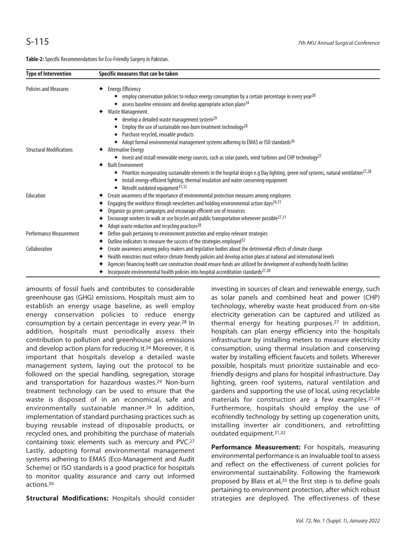**Table-2:** Specific Recommendations for Eco-Friendly Surgery in Pakistan.

| <b>Type of Intervention</b>     | Specific measures that can be taken                                                                                                                                                                                                                                                                                                                         |
|---------------------------------|-------------------------------------------------------------------------------------------------------------------------------------------------------------------------------------------------------------------------------------------------------------------------------------------------------------------------------------------------------------|
| <b>Policies and Measures</b>    | <b>Energy Efficiency</b><br>employ conservation policies to reduce energy consumption by a certain percentage in every year <sup>28</sup><br>assess baseline emissions and develop appropriate action plans <sup>24</sup>                                                                                                                                   |
|                                 | <b>Waste Management</b><br>develop a detailed waste management system <sup>29</sup>                                                                                                                                                                                                                                                                         |
|                                 | Employ the use of sustainable non-burn treatment technology <sup>28</sup><br>Purchase recycled, reusable products                                                                                                                                                                                                                                           |
| <b>Structural Modifications</b> | Adopt formal environmental management systems adhering to EMAS or ISO standards <sup>30</sup><br><b>Alternative Energy</b>                                                                                                                                                                                                                                  |
|                                 | Invest and install renewable energy sources, such as solar panels, wind turbines and CHP technology <sup>27</sup><br>$\bullet$<br><b>Built Environment</b>                                                                                                                                                                                                  |
|                                 | Prioritize incorporating sustainable elements in the hospital design e.g Day lighting, green roof systems, natural ventilation <sup>27,28</sup><br>$\bullet$<br>Install energy-efficient lighting, thermal insulation and water conserving equipment<br>Retrofit outdated equipment <sup>31,32</sup>                                                        |
| Education                       | Create awareness of the importance of environmental protection measures among employees<br>Engaging the workforce through newsletters and holding environmental action days $24,31$                                                                                                                                                                         |
|                                 | Organize go green campaigns and encourage efficient use of resources                                                                                                                                                                                                                                                                                        |
|                                 | Encourage workers to walk or use bicycles and public transportation whenever possible <sup>27,31</sup><br>Adopt waste reduction and recycling practices <sup>28</sup>                                                                                                                                                                                       |
| <b>Performance Measurement</b>  | Define goals pertaining to environment protection and employ relevant strategies                                                                                                                                                                                                                                                                            |
| Collaboration                   | Outline indicators to measure the success of the strategies employed <sup>32</sup><br>Create awareness among policy makers and legislative bodies about the detrimental effects of climate change                                                                                                                                                           |
|                                 | Health ministries must enforce climate friendly policies and develop action plans at national and international levels<br>Agencies financing health care construction should ensure funds are utilized for development of ecofriendly health facilities<br>Incorporate environmental health policies into hospital accreditation standards <sup>27,28</sup> |

amounts of fossil fuels and contributes to considerable greenhouse gas (GHG) emissions. Hospitals must aim to establish an energy usage baseline, as well employ energy conservation policies to reduce energy consumption by a certain percentage in every year.28 In addition, hospitals must periodically assess their contribution to pollution and greenhouse gas emissions and develop action plans for reducing it.24 Moreover, it is important that hospitals develop a detailed waste management system, laying out the protocol to be followed on the special handling, segregation, storage and transportation for hazardous wastes.<sup>29</sup> Non-burn treatment technology can be used to ensure that the waste is disposed of in an economical, safe and environmentally sustainable manner.28 In addition, implementation of standard purchasing practices such as buying reusable instead of disposable products, or recycled ones, and prohibiting the purchase of materials containing toxic elements such as mercury and PVC.27 Lastly, adopting formal environmental management systems adhering to EMAS (Eco-Management and Audit Scheme) or ISO standards is a good practice for hospitals to monitor quality assurance and carry out informed actions.30

**Structural Modifications:** Hospitals should consider

investing in sources of clean and renewable energy, such as solar panels and combined heat and power (CHP) technology, whereby waste heat produced from on-site electricity generation can be captured and utilized as thermal energy for heating purposes.27 In addition, hospitals can plan energy efficiency into the hospitals infrastructure by installing meters to measure electricity consumption, using thermal insulation and conserving water by installing efficient faucets and toilets. Wherever possible, hospitals must prioritize sustainable and ecofriendly designs and plans for hospital infrastructure. Day lighting, green roof systems, natural ventilation and gardens and supporting the use of local, using recyclable materials for construction are a few examples.27,28 Furthermore, hospitals should employ the use of ecofriendly technology by setting up cogeneration units, installing inverter air conditioners, and retrofitting outdated equipment.31,32

Performance Measurement: For hospitals, measuring environmental performance is an invaluable tool to assess and reflect on the effectiveness of current policies for environmental sustainability. Following the framework proposed by Blass et al,<sup>33</sup> the first step is to define goals pertaining to environment protection, after which robust strategies are deployed. The effectiveness of these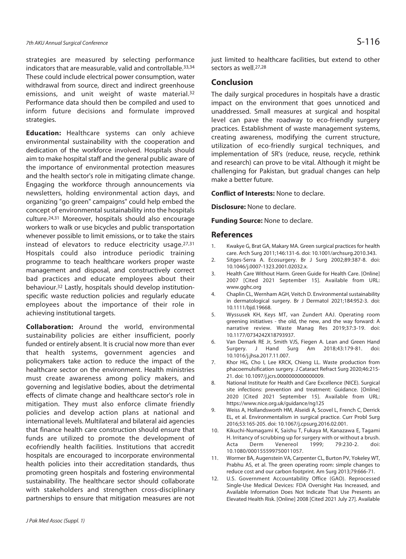strategies are measured by selecting performance indicators that are measurable, valid and controllable.33,34 These could include electrical power consumption, water withdrawal from source, direct and indirect greenhouse emissions, and unit weight of waste material.32 Performance data should then be compiled and used to inform future decisions and formulate improved strategies.

**Education:** Healthcare systems can only achieve environmental sustainability with the cooperation and dedication of the workforce involved. Hospitals should aim to make hospital staff and the general public aware of the importance of environmental protection measures and the health sector's role in mitigating climate change. Engaging the workforce through announcements via newsletters, holding environmental action days, and organizing "go green" campaigns" could help embed the concept of environmental sustainability into the hospitals culture.24,31 Moreover, hospitals should also encourage workers to walk or use bicycles and public transportation whenever possible to limit emissions, or to take the stairs instead of elevators to reduce electricity usage.27,31 Hospitals could also introduce periodic training programme to teach healthcare workers proper waste management and disposal, and constructively correct bad practices and educate employees about their behaviour.32 Lastly, hospitals should develop institutionspecific waste reduction policies and regularly educate employees about the importance of their role in achieving institutional targets.

**Collaboration:** Around the world, environmental sustainability policies are either insufficient, poorly funded or entirely absent. It is crucial now more than ever that health systems, government agencies and policymakers take action to reduce the impact of the healthcare sector on the environment. Health ministries must create awareness among policy makers, and governing and legislative bodies, about the detrimental effects of climate change and healthcare sector's role in mitigation. They must also enforce climate friendly policies and develop action plans at national and international levels. Multilateral and bilateral aid agencies that finance health care construction should ensure that funds are utilized to promote the development of ecofriendly health facilities. Institutions that accredit hospitals are encouraged to incorporate environmental health policies into their accreditation standards, thus promoting green hospitals and fostering environmental sustainability. The healthcare sector should collaborate with stakeholders and strengthen cross-disciplinary partnerships to ensure that mitigation measures are not just limited to healthcare facilities, but extend to other sectors as well.27,28

#### **Conclusion**

The daily surgical procedures in hospitals have a drastic impact on the environment that goes unnoticed and unaddressed. Small measures at surgical and hospital level can pave the roadway to eco-friendly surgery practices. Establishment of waste management systems, creating awareness, modifying the current structure, utilization of eco-friendly surgical techniques, and implementation of 5R's (reduce, reuse, recycle, rethink and research) can prove to be vital. Although it might be challenging for Pakistan, but gradual changes can help make a better future.

**Conflict of Interests:** None to declare.

**Disclosure:** None to declare.

**Funding Source:** None to declare.

#### **References**

- 1. Kwakye G, Brat GA, Makary MA. Green surgical practices for health care. Arch Surg 2011;146:131-6. doi: 10.1001/archsurg.2010.343.
- 2. Sitges-Serra A. Ecosurgery. Br J Surg 2002;89:387-8. doi: 10.1046/j.0007-1323.2001.02032.x.
- 3. Health Care Without Harm. Green Guide for Health Care. [Online] 2007 [Cited 2021 September 15]. Available from URL: www.gghc.org
- 4. Chaplin CL, Wernham AGH, Veitch D. Environmental sustainability in dermatological surgery. Br J Dermatol 2021;184:952-3. doi: 10.1111/bjd.19668.
- 5. Wyssusek KH, Keys MT, van Zundert AAJ. Operating room greening initiatives - the old, the new, and the way forward: A narrative review. Waste Manag Res 2019;37:3-19. doi: 10.1177/0734242X18793937.
- 6. Van Demark RE Jr, Smith VJS, Fiegen A. Lean and Green Hand Surgery. J Hand Surg Am 2018;43:179-81. doi: 10.1016/j.jhsa.2017.11.007.
- 7. Khor HG, Cho I, Lee KRCK, Chieng LL. Waste production from phacoemulsification surgery. J Cataract Refract Surg 2020;46:215- 21. doi: 10.1097/j.jcrs.0000000000000009.
- 8. National Institute for Health and Care Excellence (NICE). Surgical site infections: prevention and treatment: Guidance. [Online] 2020 [Cited 2021 September 15]. Available from URL: https://www.nice.org.uk/guidance/ng125
- 9. Weiss A, Hollandsworth HM, Alseidi A, Scovel L, French C, Derrick EL, et al. Environmentalism in surgical practice. Curr Probl Surg 2016;53:165-205. doi: 10.1067/j.cpsurg.2016.02.001.
- 10. Kikuchi-Numagami K, Saishu T, Fukaya M, Kanazawa E, Tagami H. Irritancy of scrubbing up for surgery with or without a brush.<br>Acta Derm Venereol 1999; 79:230-2. doi: Acta Derm Venereol 1999; 79:230-2. doi: 10.1080/000155599750011057.
- 11. Wormer BA, Augenstein VA, Carpenter CL, Burton PV, Yokeley WT, Prabhu AS, et al. The green operating room: simple changes to reduce cost and our carbon footprint. Am Surg 2013;79:666-71.
- 12. U.S. Government Accountability Office (GAO). Reprocessed Single-Use Medical Devices: FDA Oversight Has Increased, and Available Information Does Not Indicate That Use Presents an Elevated Health Risk. [Online] 2008 [Cited 2021 July 27]. Available